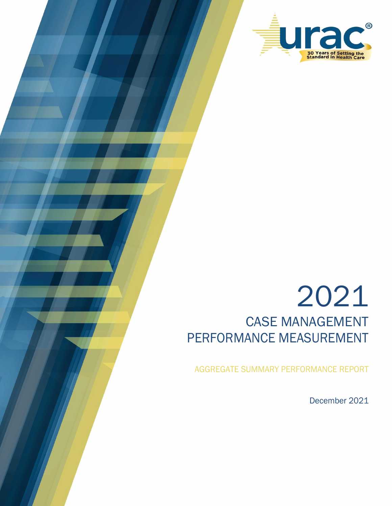

# 2021 CASE MANAGEMENT PERFORMANCE MEASUREMENT

AGGREGATE SUMMARY PERFORMANCE REPORT

December 2021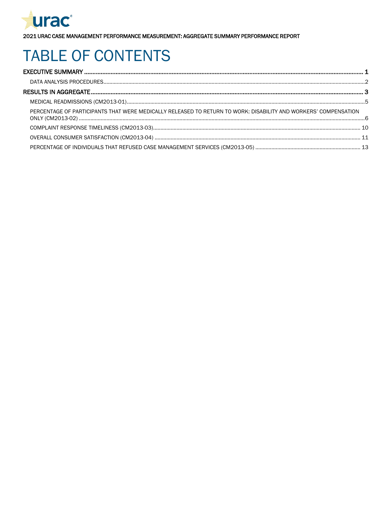

# **TABLE OF CONTENTS**

| PERCENTAGE OF PARTICIPANTS THAT WERE MEDICALLY RELEASED TO RETURN TO WORK: DISABILITY AND WORKERS' COMPENSATION |  |
|-----------------------------------------------------------------------------------------------------------------|--|
|                                                                                                                 |  |
|                                                                                                                 |  |
|                                                                                                                 |  |
|                                                                                                                 |  |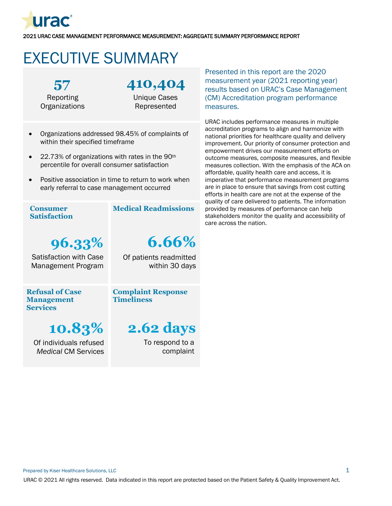

# <span id="page-2-0"></span>EXECUTIVE SUMMARY

**57** Reporting **Organizations**  **410,404**

Unique Cases Represented

- Organizations addressed 98.45% of complaints of within their specified timeframe
- 22.73% of organizations with rates in the 90<sup>th</sup> percentile for overall consumer satisfaction
- Positive association in time to return to work when early referral to case management occurred

#### .<br>• **Consumer Satisfaction**

**Medical Readmissions**

Of patients readmitted

**6.66%**

within 30 days

**96.33%** Satisfaction with Case Management Program

**Complaint Response** 

**Refusal of Case Management Services**

**Timeliness**

**10.83%** Of individuals refused *Medical* CM Services

# **2.62 days**

To respond to a complaint Presented in this report are the 2020 measurement year (2021 reporting year) results based on URAC's Case Management (CM) Accreditation program performance measures.

URAC includes performance measures in multiple accreditation programs to align and harmonize with national priorities for healthcare quality and delivery improvement. Our priority of consumer protection and empowerment drives our measurement efforts on outcome measures, composite measures, and flexible measures collection. With the emphasis of the ACA on affordable, quality health care and access, it is imperative that performance measurement programs are in place to ensure that savings from cost cutting efforts in health care are not at the expense of the quality of care delivered to patients. The information provided by measures of performance can help stakeholders monitor the quality and accessibility of care across the nation.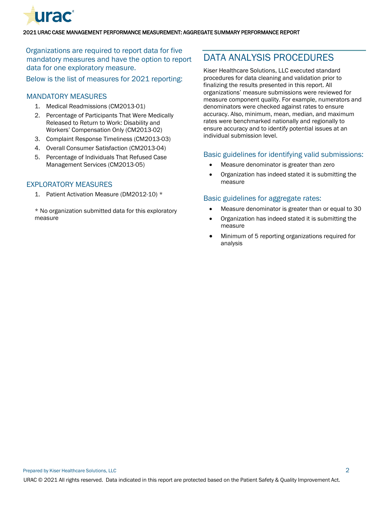

Organizations are required to report data for five mandatory measures and have the option to report data for one exploratory measure.

Below is the list of measures for 2021 reporting:

## MANDATORY MEASURES

- 1. Medical Readmissions (CM2013-01)
- 2. Percentage of Participants That Were Medically Released to Return to Work: Disability and Workers' Compensation Only (CM2013-02)
- 3. Complaint Response Timeliness (CM2013-03)
- 4. Overall Consumer Satisfaction (CM2013-04)
- 5. Percentage of Individuals That Refused Case Management Services (CM2013-05)

### EXPLORATORY MEASURES

1. Patient Activation Measure (DM2012-10) \*

\* No organization submitted data for this exploratory measure

# <span id="page-3-0"></span>DATA ANALYSIS PROCEDURES

Kiser Healthcare Solutions, LLC executed standard procedures for data cleaning and validation prior to finalizing the results presented in this report. All organizations' measure submissions were reviewed for measure component quality. For example, numerators and denominators were checked against rates to ensure accuracy. Also, minimum, mean, median, and maximum rates were benchmarked nationally and regionally to ensure accuracy and to identify potential issues at an individual submission level.

### Basic guidelines for identifying valid submissions:

- Measure denominator is greater than zero
- Organization has indeed stated it is submitting the measure

#### Basic guidelines for aggregate rates:

- Measure denominator is greater than or equal to 30
- Organization has indeed stated it is submitting the measure
- Minimum of 5 reporting organizations required for analysis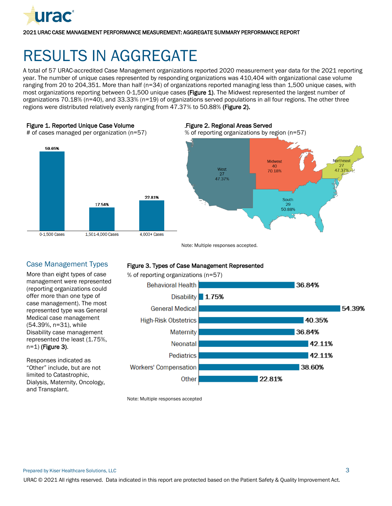

# <span id="page-4-0"></span>RESULTS IN AGGREGATE

A total of 57 URAC-accredited Case Management organizations reported 2020 measurement year data for the 2021 reporting year. The number of unique cases represented by responding organizations was 410,404 with organizational case volume ranging from 20 to 204,351. More than half (n=34) of organizations reported managing less than 1,500 unique cases, with most organizations reporting between 0-1,500 unique cases (Figure 1). The Midwest represented the largest number of organizations 70.18% (n=40), and 33.33% (n=19) of organizations served populations in all four regions. The other three regions were distributed relatively evenly ranging from 47.37% to 50.88% (Figure 2).

#### Figure 1. Reported Unique Case Volume

# of cases managed per organization (n=57)



#### 3B3Figure 2. Regional Areas Served

% of reporting organizations by region (n=57)



Note: Multiple responses accepted.

# Case Management Types

More than eight types of case management were represented (reporting organizations could offer more than one type of case management). The most represented type was General Medical case management (54.39%, n=31), while Disability case management represented the least (1.75%, n=1) (Figure 3).

Responses indicated as "Other" include, but are not limited to Catastrophic, Dialysis, Maternity, Oncology, and Transplant.

### Figure 3. Types of Case Management Represented



Note: Multiple responses accepted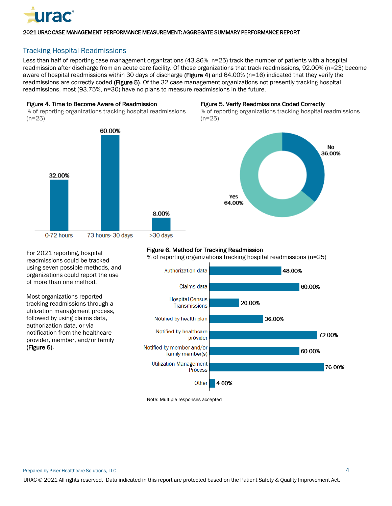

# Tracking Hospital Readmissions

Less than half of reporting case management organizations (43.86%, n=25) track the number of patients with a hospital readmission after discharge from an acute care facility. Of those organizations that track readmissions, 92.00% (n=23) become aware of hospital readmissions within 30 days of discharge (Figure 4) and 64.00% (n=16) indicated that they verify the readmissions are correctly coded (Figure 5). Of the 32 case management organizations not presently tracking hospital readmissions, most (93.75%, n=30) have no plans to measure readmissions in the future.

#### Figure 4. Time to Become Aware of Readmission

% of reporting organizations tracking hospital readmissions  $(n=25)$ 



#### Figure 5. Verify Readmissions Coded Correctly

% of reporting organizations tracking hospital readmissions  $(n=25)$ 



#### Figure 6. Method for Tracking Readmission

% of reporting organizations tracking hospital readmissions (n=25)



Note: Multiple responses accepted

For 2021 reporting, hospital readmissions could be tracked using seven possible methods, and organizations could report the use of more than one method.

Most organizations reported tracking readmissions through a utilization management process, followed by using claims data, authorization data, or via notification from the healthcare provider, member, and/or family

(Figure 6).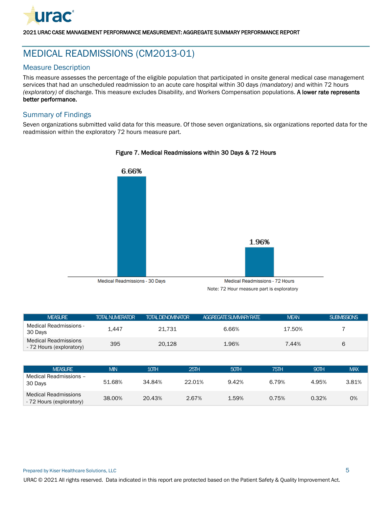

# <span id="page-6-0"></span>MEDICAL READMISSIONS (CM2013-01)

# Measure Description

This measure assesses the percentage of the eligible population that participated in onsite general medical case management services that had an unscheduled readmission to an acute care hospital within 30 days *(mandatory)* and within 72 hours *(exploratory)* of discharge. This measure excludes Disability, and Workers Compensation populations. A lower rate represents better performance.

## Summary of Findings

Seven organizations submitted valid data for this measure. Of those seven organizations, six organizations reported data for the readmission within the exploratory 72 hours measure part.



#### Figure 7. Medical Readmissions within 30 Days & 72 Hours

Medical Readmissions - 72 Hours

Note: 72 Hour measure part is exploratory

| <b>MFASLIRE</b>                                  | <b>TOTAL NUMERATOR</b> | <b>TOTAL DENOMINATOR</b> | <b>AGGRFGATESLIMMARYRATE</b> | <b>MEAN</b> | <b>SUBMISSIONS</b> |
|--------------------------------------------------|------------------------|--------------------------|------------------------------|-------------|--------------------|
| Medical Readmissions -<br>30 Days                | 1.447                  | 21.731                   | 6.66%                        | 17.50%      |                    |
| Medical Readmissions<br>- 72 Hours (exploratory) | 395                    | 20.128                   | 1.96%                        | 7.44%       | h                  |

| <b>MFASLIRE</b>                                         | MIN    | 10TH   | 25TH   | 50TH  | 75TH  | 90TH  | <b>MAX</b> |
|---------------------------------------------------------|--------|--------|--------|-------|-------|-------|------------|
| Medical Readmissions -<br>30 Days                       | 51.68% | 34.84% | 22.01% | 9.42% | 6.79% | 4.95% | 3.81%      |
| <b>Medical Readmissions</b><br>- 72 Hours (exploratory) | 38,00% | 20.43% | 2.67%  | 1.59% | 0.75% | 0.32% | 0%         |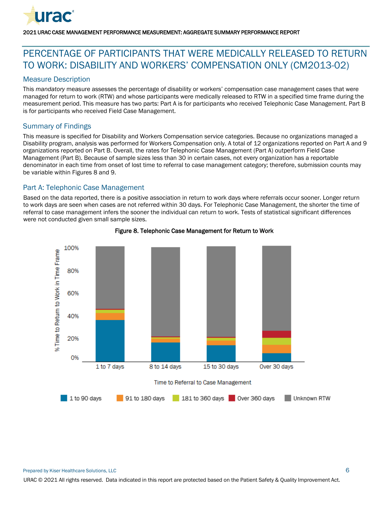

# <span id="page-7-0"></span>PERCENTAGE OF PARTICIPANTS THAT WERE MEDICALLY RELEASED TO RETURN TO WORK: DISABILITY AND WORKERS' COMPENSATION ONLY (CM2013-02)

## Measure Description

This *mandatory* measure assesses the percentage of disability or workers' compensation case management cases that were managed for return to work (RTW) and whose participants were medically released to RTW in a specified time frame during the measurement period. This measure has two parts: Part A is for participants who received Telephonic Case Management. Part B is for participants who received Field Case Management.

## Summary of Findings

This measure is specified for Disability and Workers Compensation service categories. Because no organizations managed a Disability program, analysis was performed for Workers Compensation only. A total of 12 organizations reported on Part A and 9 organizations reported on Part B. Overall, the rates for Telephonic Case Management (Part A) outperform Field Case Management (Part B). Because of sample sizes less than 30 in certain cases, not every organization has a reportable denominator in each time from onset of lost time to referral to case management category; therefore, submission counts may be variable within Figures 8 and 9.

## Part A: Telephonic Case Management

Based on the data reported, there is a positive association in return to work days where referrals occur sooner. Longer return to work days are seen when cases are not referred within 30 days. For Telephonic Case Management, the shorter the time of referral to case management infers the sooner the individual can return to work. Tests of statistical significant differences were not conducted given small sample sizes.



### Figure 8. Telephonic Case Management for Return to Work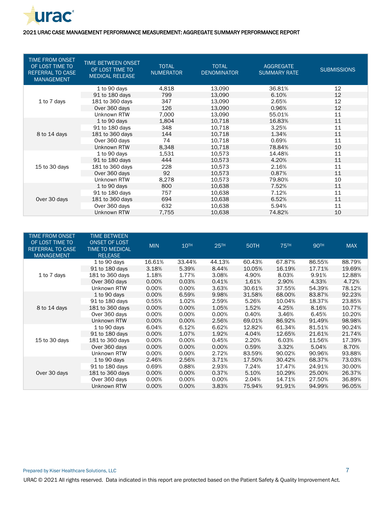

| TIME FROM ONSET<br>OF LOST TIME TO<br><b>REFERRAL TO CASE</b><br><b>MANAGEMENT</b> | TIME BETWEEN ONSET<br>OF LOST TIME TO<br><b>MEDICAL RELEASE</b> | <b>TOTAL</b><br><b>NUMERATOR</b> | <b>TOTAL</b><br><b>DENOMINATOR</b> | <b>AGGREGATE</b><br><b>SUMMARY RATE</b> | <b>SUBMISSIONS</b> |
|------------------------------------------------------------------------------------|-----------------------------------------------------------------|----------------------------------|------------------------------------|-----------------------------------------|--------------------|
|                                                                                    | 1 to 90 days                                                    | 4,818                            | 13,090                             | 36.81%                                  | 12                 |
|                                                                                    | 91 to 180 days                                                  | 799                              | 13,090                             | 6.10%                                   | 12                 |
| 1 to 7 days                                                                        | 181 to 360 days                                                 | 347                              | 13.090                             | 2.65%                                   | 12                 |
|                                                                                    | Over 360 days                                                   | 126                              | 13,090                             | 0.96%                                   | 12                 |
|                                                                                    | Unknown RTW                                                     | 7,000                            | 13,090                             | 55.01%                                  | 11                 |
|                                                                                    | 1 to 90 days                                                    | 1,804                            | 10,718                             | 16.83%                                  | 11                 |
|                                                                                    | 91 to 180 days                                                  | 348                              | 10,718                             | 3.25%                                   | 11                 |
| 8 to 14 days                                                                       | 181 to 360 days                                                 | 144                              | 10,718                             | 1.34%                                   | 11                 |
|                                                                                    | Over 360 days                                                   | 74                               | 10,718                             | 0.69%                                   | 11                 |
|                                                                                    | Unknown RTW                                                     | 8,348                            | 10,718                             | 78.84%                                  | 10                 |
|                                                                                    | 1 to 90 days                                                    | 1,531                            | 10.573                             | 14.48%                                  | 11                 |
|                                                                                    | 91 to 180 days                                                  | 444                              | 10,573                             | 4.20%                                   | 11                 |
| 15 to 30 days                                                                      | 181 to 360 days                                                 | 228                              | 10,573                             | 2.16%                                   | 11                 |
|                                                                                    | Over 360 days                                                   | 92                               | 10,573                             | 0.87%                                   | 11                 |
|                                                                                    | Unknown RTW                                                     | 8,278                            | 10,573                             | 79.80%                                  | 10                 |
|                                                                                    | 1 to 90 days                                                    | 800                              | 10,638                             | 7.52%                                   | 11                 |
|                                                                                    | 91 to 180 days                                                  | 757                              | 10,638                             | 7.12%                                   | 11                 |
| Over 30 days                                                                       | 181 to 360 days                                                 | 694                              | 10,638                             | 6.52%                                   | 11                 |
|                                                                                    | Over 360 days                                                   | 632                              | 10,638                             | 5.94%                                   | 11                 |
|                                                                                    | Unknown RTW                                                     | 7,755                            | 10,638                             | 74.82%                                  | 10                 |

| <b>TIME FROM ONSET</b><br>OF LOST TIME TO<br><b>REFERRAL TO CASE</b><br><b>MANAGEMENT</b> | <b>TIME BETWEEN</b><br><b>ONSET OF LOST</b><br><b>TIME TO MEDICAL</b><br><b>RELEASE</b> | <b>MIN</b> | <b>10TH</b> | <b>25TH</b> | 50TH   | <b>75TH</b> | <b>90TH</b> | <b>MAX</b> |
|-------------------------------------------------------------------------------------------|-----------------------------------------------------------------------------------------|------------|-------------|-------------|--------|-------------|-------------|------------|
|                                                                                           | 1 to 90 days                                                                            | 16.61%     | 33.44%      | 44.13%      | 60.43% | 67.87%      | 86.55%      | 88.79%     |
|                                                                                           | 91 to 180 days                                                                          | 3.18%      | 5.39%       | 8.44%       | 10.05% | 16.19%      | 17.71%      | 19.69%     |
| 1 to 7 days                                                                               | 181 to 360 days                                                                         | 1.18%      | 1.77%       | 3.08%       | 4.90%  | 8.03%       | 9.91%       | 12.88%     |
|                                                                                           | Over 360 days                                                                           | 0.00%      | 0.03%       | 0.41%       | 1.61%  | 2.90%       | 4.33%       | 4.72%      |
|                                                                                           | Unknown RTW                                                                             | 0.00%      | 0.00%       | 3.63%       | 30.61% | 37.55%      | 54.39%      | 78.12%     |
|                                                                                           | 1 to 90 days                                                                            | 0.00%      | 6.59%       | 9.98%       | 31.58% | 68.00%      | 83.87%      | 92.23%     |
|                                                                                           | 91 to 180 days                                                                          | 0.55%      | 1.02%       | 2.59%       | 5.26%  | 10.04%      | 18.37%      | 23.85%     |
| 8 to 14 days                                                                              | 181 to 360 days                                                                         | 0.00%      | 0.00%       | 1.05%       | 1.52%  | 4.25%       | 8.16%       | 10.77%     |
|                                                                                           | Over 360 days                                                                           | 0.00%      | $0.00\%$    | 0.00%       | 0.40%  | 3.46%       | 6.45%       | 10.20%     |
|                                                                                           | Unknown RTW                                                                             | 0.00%      | 0.00%       | 2.56%       | 69.01% | 86.92%      | 91.49%      | 98.98%     |
|                                                                                           | 1 to 90 days                                                                            | 6.04%      | 6.12%       | 6.62%       | 12.82% | 61.34%      | 81.51%      | 90.24%     |
|                                                                                           | 91 to 180 days                                                                          | 0.00%      | 1.07%       | 1.92%       | 4.04%  | 12.65%      | 21.61%      | 21.74%     |
| 15 to 30 days                                                                             | 181 to 360 days                                                                         | 0.00%      | 0.00%       | 0.45%       | 2.20%  | 6.03%       | 11.56%      | 17.39%     |
|                                                                                           | Over 360 days                                                                           | 0.00%      | 0.00%       | $0.00\%$    | 0.59%  | 3.32%       | 5.04%       | 8.70%      |
|                                                                                           | Unknown RTW                                                                             | 0.00%      | $0.00\%$    | 2.72%       | 83.59% | 90.02%      | 90.96%      | 93.88%     |
|                                                                                           | 1 to 90 days                                                                            | 2.46%      | 2.56%       | 3.71%       | 17.50% | 30.42%      | 68.37%      | 73.03%     |
|                                                                                           | 91 to 180 days                                                                          | 0.69%      | 0.88%       | 2.93%       | 7.24%  | 17.47%      | 24.91%      | 30.00%     |
| Over 30 days                                                                              | 181 to 360 days                                                                         | 0.00%      | 0.00%       | 0.37%       | 5.10%  | 10.29%      | 25.00%      | 26.37%     |
|                                                                                           | Over 360 days                                                                           | 0.00%      | 0.00%       | 0.00%       | 2.04%  | 14.71%      | 27.50%      | 36.89%     |
|                                                                                           | Unknown RTW                                                                             | 0.00%      | $0.00\%$    | 3.83%       | 75.94% | 91.91%      | 94.99%      | 96.05%     |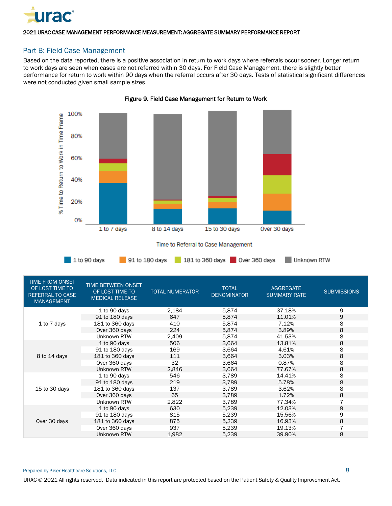

# Part B: Field Case Management

Based on the data reported, there is a positive association in return to work days where referrals occur sooner. Longer return to work days are seen when cases are not referred within 30 days. For Field Case Management, there is slightly better performance for return to work within 90 days when the referral occurs after 30 days. Tests of statistical significant differences were not conducted given small sample sizes.



Figure 9. Field Case Management for Return to Work

|  |  |  |  | Time to Referral to Case Management |
|--|--|--|--|-------------------------------------|
|--|--|--|--|-------------------------------------|

| $1$ to 90 days | 91 to 180 days 181 to 360 days 0ver 360 days |  | Unknown RTW |
|----------------|----------------------------------------------|--|-------------|
|----------------|----------------------------------------------|--|-------------|

| TIME FROM ONSET<br>OF LOST TIME TO<br><b>REFERRAL TO CASE</b><br><b>MANAGEMENT</b> | <b>TIME BETWEEN ONSET</b><br>OF LOST TIME TO<br><b>MEDICAL RELEASE</b> | <b>TOTAL NUMERATOR</b> | <b>TOTAL</b><br><b>DENOMINATOR</b> | <b>AGGREGATE</b><br><b>SUMMARY RATE</b> | <b>SUBMISSIONS</b> |
|------------------------------------------------------------------------------------|------------------------------------------------------------------------|------------------------|------------------------------------|-----------------------------------------|--------------------|
|                                                                                    | 1 to 90 days                                                           | 2,184                  | 5,874                              | 37.18%                                  | 9                  |
|                                                                                    | 91 to 180 days                                                         | 647                    | 5,874                              | 11.01%                                  | 9                  |
| 1 to 7 days                                                                        | 181 to 360 days                                                        | 410                    | 5,874                              | 7.12%                                   | 8                  |
|                                                                                    | Over 360 days                                                          | 224                    | 5,874                              | 3.89%                                   | 8                  |
|                                                                                    | Unknown RTW                                                            | 2,409                  | 5,874                              | 41.53%                                  | 8                  |
|                                                                                    | 1 to 90 days                                                           | 506                    | 3,664                              | 13.81%                                  | 8                  |
|                                                                                    | 91 to 180 days                                                         | 169                    | 3,664                              | 4.61%                                   | 8                  |
| 8 to 14 days                                                                       | 181 to 360 days                                                        | 111                    | 3,664                              | 3.03%                                   | 8                  |
|                                                                                    | Over 360 days                                                          | 32                     | 3,664                              | 0.87%                                   | 8                  |
|                                                                                    | Unknown RTW                                                            | 2.846                  | 3,664                              | 77.67%                                  | 8                  |
|                                                                                    | 1 to 90 days                                                           | 546                    | 3,789                              | 14.41%                                  | 8                  |
|                                                                                    | 91 to 180 days                                                         | 219                    | 3.789                              | 5.78%                                   | 8                  |
| 15 to 30 days                                                                      | 181 to 360 days                                                        | 137                    | 3.789                              | 3.62%                                   | 8                  |
|                                                                                    | Over 360 days                                                          | 65                     | 3,789                              | 1.72%                                   | 8                  |
|                                                                                    | Unknown RTW                                                            | 2,822                  | 3,789                              | 77.34%                                  |                    |
|                                                                                    | 1 to 90 days                                                           | 630                    | 5,239                              | 12.03%                                  | 9                  |
|                                                                                    | 91 to 180 days                                                         | 815                    | 5,239                              | 15.56%                                  | 9                  |
| Over 30 days                                                                       | 181 to 360 days                                                        | 875                    | 5,239                              | 16.93%                                  | 8                  |
|                                                                                    | Over 360 days                                                          | 937                    | 5.239                              | 19.13%                                  |                    |
|                                                                                    | Unknown RTW                                                            | 1,982                  | 5,239                              | 39.90%                                  | 8                  |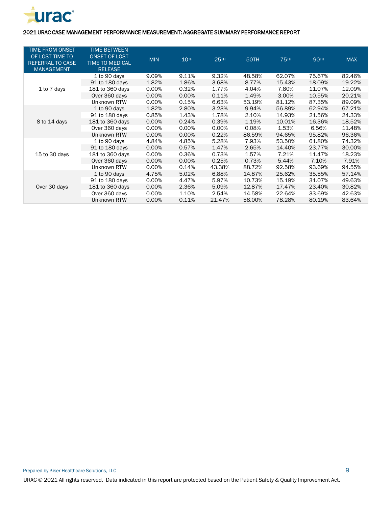

| <b>TIME FROM ONSET</b><br>OF LOST TIME TO<br><b>REFERRAL TO CASE</b><br><b>MANAGEMENT</b> | <b>TIME BETWEEN</b><br><b>ONSET OF LOST</b><br><b>TIME TO MEDICAL</b><br><b>RELEASE</b> | <b>MIN</b> | 10 <sup>TH</sup> | <b>25TH</b> | 50TH   | <b>75TH</b> | <b>90TH</b> | <b>MAX</b> |
|-------------------------------------------------------------------------------------------|-----------------------------------------------------------------------------------------|------------|------------------|-------------|--------|-------------|-------------|------------|
|                                                                                           | 1 to 90 days                                                                            | 9.09%      | 9.11%            | 9.32%       | 48.58% | 62.07%      | 75.67%      | 82.46%     |
|                                                                                           | 91 to 180 days                                                                          | 1.82%      | 1.86%            | 3.68%       | 8.77%  | 15.43%      | 18.09%      | 19.22%     |
| 1 to 7 days                                                                               | 181 to 360 days                                                                         | 0.00%      | 0.32%            | 1.77%       | 4.04%  | 7.80%       | 11.07%      | 12.09%     |
|                                                                                           | Over 360 days                                                                           | 0.00%      | 0.00%            | 0.11%       | 1.49%  | 3.00%       | 10.55%      | 20.21%     |
|                                                                                           | Unknown RTW                                                                             | 0.00%      | 0.15%            | 6.63%       | 53.19% | 81.12%      | 87.35%      | 89.09%     |
|                                                                                           | 1 to 90 days                                                                            | 1.82%      | 2.80%            | 3.23%       | 9.94%  | 56.89%      | 62.94%      | 67.21%     |
|                                                                                           | 91 to 180 days                                                                          | 0.85%      | 1.43%            | 1.78%       | 2.10%  | 14.93%      | 21.56%      | 24.33%     |
| 8 to 14 days                                                                              | 181 to 360 days                                                                         | 0.00%      | 0.24%            | 0.39%       | 1.19%  | 10.01%      | 16.36%      | 18.52%     |
|                                                                                           | Over 360 days                                                                           | 0.00%      | $0.00\%$         | 0.00%       | 0.08%  | 1.53%       | 6.56%       | 11.48%     |
|                                                                                           | Unknown RTW                                                                             | 0.00%      | 0.00%            | 0.22%       | 86.59% | 94.65%      | 95.82%      | 96.36%     |
|                                                                                           | 1 to 90 days                                                                            | 4.84%      | 4.85%            | 5.28%       | 7.93%  | 53.50%      | 61.80%      | 74.32%     |
|                                                                                           | 91 to 180 days                                                                          | 0.00%      | 0.57%            | 1.47%       | 2.65%  | 14.40%      | 23.77%      | 30.00%     |
| 15 to 30 days                                                                             | 181 to 360 days                                                                         | 0.00%      | 0.36%            | 0.73%       | 1.57%  | 7.21%       | 11.47%      | 18.23%     |
|                                                                                           | Over 360 days                                                                           | 0.00%      | $0.00\%$         | 0.25%       | 0.73%  | 5.44%       | 7.10%       | 7.91%      |
|                                                                                           | Unknown RTW                                                                             | 0.00%      | 0.14%            | 43.38%      | 88.72% | 92.58%      | 93.69%      | 94.55%     |
|                                                                                           | 1 to 90 days                                                                            | 4.75%      | 5.02%            | 6.88%       | 14.87% | 25.62%      | 35.55%      | 57.14%     |
|                                                                                           | 91 to 180 days                                                                          | 0.00%      | 4.47%            | 5.97%       | 10.73% | 15.19%      | 31.07%      | 49.63%     |
| Over 30 days                                                                              | 181 to 360 days                                                                         | 0.00%      | 2.36%            | 5.09%       | 12.87% | 17.47%      | 23.40%      | 30.82%     |
|                                                                                           | Over 360 days                                                                           | 0.00%      | 1.10%            | 2.54%       | 14.58% | 22.64%      | 33.69%      | 42.63%     |
|                                                                                           | Unknown RTW                                                                             | 0.00%      | 0.11%            | 21.47%      | 58.00% | 78.28%      | 80.19%      | 83.64%     |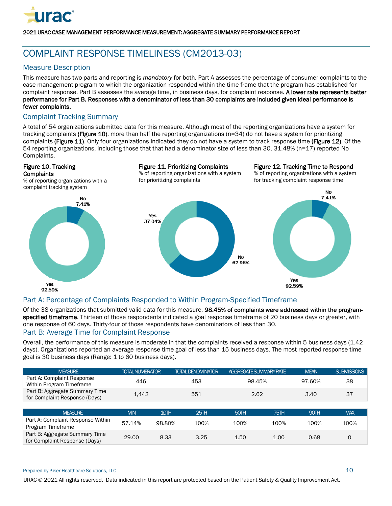

# <span id="page-11-0"></span>COMPLAINT RESPONSE TIMELINESS (CM2013-03)

# Measure Description

This measure has two parts and reporting is *mandatory* for both*.* Part A assesses the percentage of consumer complaints to the case management program to which the organization responded within the time frame that the program has established for complaint response. Part B assesses the average time, in business days, for complaint response. A lower rate represents better performance for Part B. Responses with a denominator of less than 30 complaints are included given ideal performance is fewer complaints.

## Complaint Tracking Summary

A total of 54 organizations submitted data for this measure. Although most of the reporting organizations have a system for tracking complaints (Figure 10), more than half the reporting organizations (n=34) do not have a system for prioritizing complaints (Figure 11). Only four organizations indicated they do not have a system to track response time (Figure 12). Of the 54 reporting organizations, including those that that had a denominator size of less than 30, 31.48% (n=17) reported No Complaints.



# Part A: Percentage of Complaints Responded to Within Program-Specified Timeframe

Of the 38 organizations that submitted valid data for this measure, 98.45% of complaints were addressed within the programspecified timeframe. Thirteen of those respondents indicated a goal response timeframe of 20 business days or greater, with one response of 60 days. Thirty-four of those respondents have denominators of less than 30.

### Part B: Average Time for Complaint Response

Overall, the performance of this measure is moderate in that the complaints received a response within 5 business days (1.42 days). Organizations reported an average response time goal of less than 15 business days. The most reported response time goal is 30 business days (Range: 1 to 60 business days).

| <b>MEASURE</b>                                                  | <b>TOTAL NUMERATOR</b> |        | <b>TOTAL DENOMINATOR</b> | AGGREGATE SUMMARY RATE |      | <b>MEAN</b> | <b>SUBMISSIONS</b> |
|-----------------------------------------------------------------|------------------------|--------|--------------------------|------------------------|------|-------------|--------------------|
| Part A: Complaint Response<br>Within Program Timeframe          | 446                    |        | 453                      | 98.45%                 |      | 97.60%      | 38                 |
| Part B: Aggregate Summary Time<br>for Complaint Response (Days) | 1.442                  |        | 551                      | 2.62                   |      | 3.40        | 37                 |
|                                                                 |                        |        |                          |                        |      |             |                    |
| <b>MEASURE</b>                                                  | <b>MIN</b>             | 10TH   | 25TH                     | 50TH                   | 75TH | 90TH        | <b>MAX</b>         |
| Part A: Complaint Response Within<br>Program Timeframe          | 57.14%                 | 98.80% | 100%                     | 100%                   | 100% | 100%        | 100%               |
| Part B: Aggregate Summary Time<br>for Complaint Response (Days) | 29.00                  | 8.33   | 3.25                     | 1.50                   | 1.00 | 0.68        | $\Omega$           |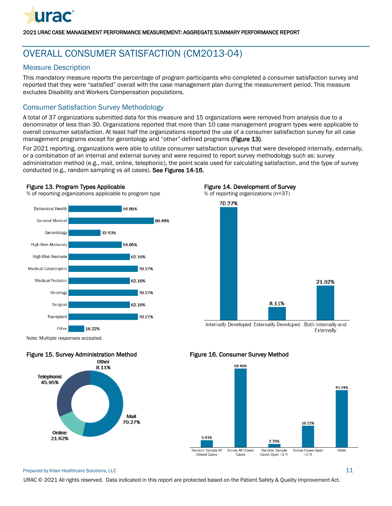

# <span id="page-12-0"></span>OVERALL CONSUMER SATISFACTION (CM2013-04)

# Measure Description

This *mandatory* measure reports the percentage of program participants who completed a consumer satisfaction survey and reported that they were "satisfied" overall with the case management plan during the measurement period. This measure excludes Disability and Workers Compensation populations.

# Consumer Satisfaction Survey Methodology

A total of 37 organizations submitted data for this measure and 15 organizations were removed from analysis due to a denominator of less than 30. Organizations reported that more than 10 case management program types were applicable to overall consumer satisfaction. At least half the organizations reported the use of a consumer satisfaction survey for all case management programs except for gerontology and "other"-defined programs (Figure 13).

For 2021 reporting, organizations were able to utilize consumer satisfaction surveys that were developed internally, externally, or a combination of an internal and external survey and were required to report survey methodology such as: survey administration method (e.g., mail, online, telephonic), the point scale used for calculating satisfaction, and the type of survey conducted (e.g., random sampling vs all cases). See Figures 14-16.

#### Figure 13. Program Types Applicable

% of reporting organizations applicable to program type



#### Figure 14. Development of Survey



Internally Developed Externally Developed Both Internally and **Externally** 

Note: Multiple responses accepted.



#### Figure 16. Consumer Survey Method



#### Prepared by Kiser Healthcare Solutions, LLC  $11$

URAC © 2021 All rights reserved. Data indicated in this report are protected based on the Patient Safety & Quality Improvement Act.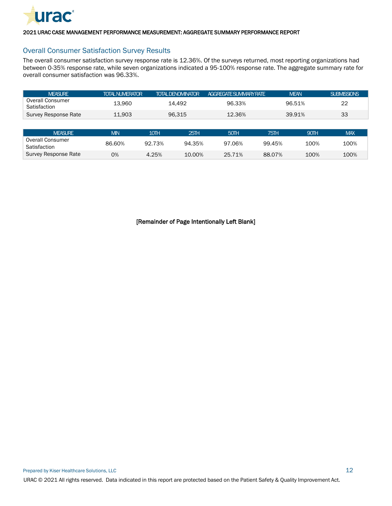

### Overall Consumer Satisfaction Survey Results

The overall consumer satisfaction survey response rate is 12.36%. Of the surveys returned, most reporting organizations had between 0-35% response rate, while seven organizations indicated a 95-100% response rate. The aggregate summary rate for overall consumer satisfaction was 96.33%.

| <b>MEASURE</b>                          | <b>TOTAL NUMERATOR</b> |        | <b>TOTAL DENOMINATOR</b> | <b>AGGREGATE SUMMARY RATE</b> |        | <b>MEAN</b> | <b>SUBMISSIONS</b> |
|-----------------------------------------|------------------------|--------|--------------------------|-------------------------------|--------|-------------|--------------------|
| <b>Overall Consumer</b><br>Satisfaction | 13.960                 |        | 14.492                   | 96.33%                        |        | 96.51%      | 22                 |
| Survey Response Rate                    | 11.903                 |        | 96.315                   | 12.36%                        |        | 39.91%      | 33                 |
|                                         |                        |        |                          |                               |        |             |                    |
| <b>MEASURE</b>                          | <b>MIN</b>             | 10TH   | 25TH                     | 50TH                          | 75TH   | 90TH        | <b>MAX</b>         |
| Overall Consumer<br>Satisfaction        | 86.60%                 | 92.73% | 94.35%                   | 97.06%                        | 99.45% | 100%        | 100%               |
| Survey Response Rate                    | 0%                     | 4.25%  | 10.00%                   | 25.71%                        | 88.07% | 100%        | 100%               |

[Remainder of Page Intentionally Left Blank]